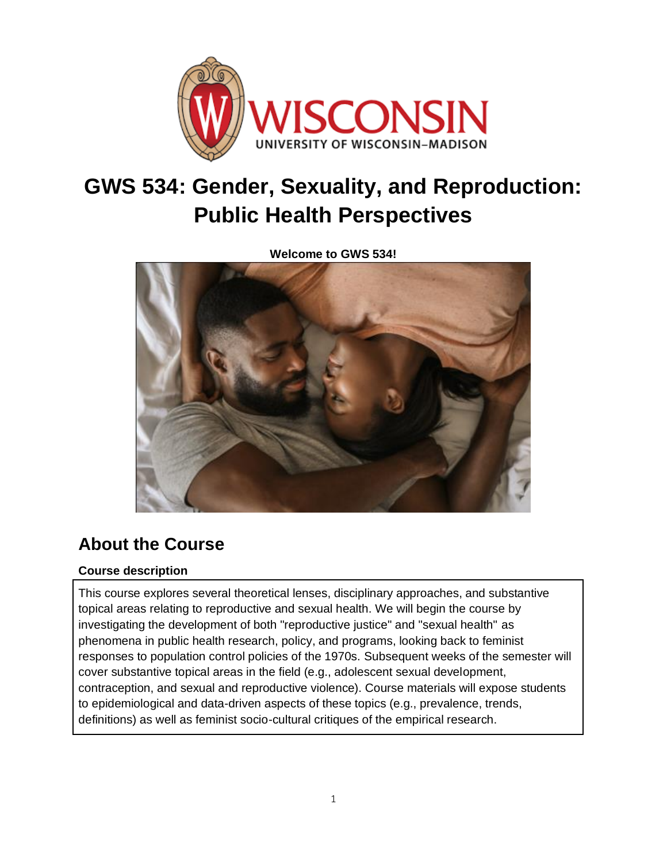

# **GWS 534: Gender, Sexuality, and Reproduction: Public Health Perspectives**

**Welcome to GWS 534!**



# **About the Course**

# **Course description**

This course explores several theoretical lenses, disciplinary approaches, and substantive topical areas relating to reproductive and sexual health. We will begin the course by investigating the development of both "reproductive justice" and "sexual health" as phenomena in public health research, policy, and programs, looking back to feminist responses to population control policies of the 1970s. Subsequent weeks of the semester will cover substantive topical areas in the field (e.g., adolescent sexual development, contraception, and sexual and reproductive violence). Course materials will expose students to epidemiological and data-driven aspects of these topics (e.g., prevalence, trends, definitions) as well as feminist socio-cultural critiques of the empirical research.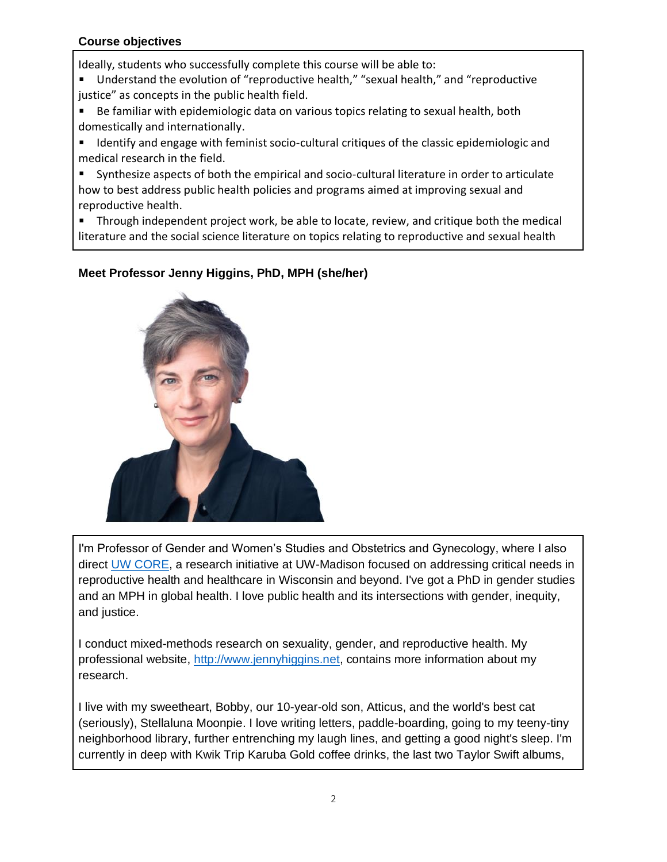### **Course objectives**

Ideally, students who successfully complete this course will be able to:

- Understand the evolution of "reproductive health," "sexual health," and "reproductive justice" as concepts in the public health field.
- Be familiar with epidemiologic data on various topics relating to sexual health, both domestically and internationally.
- **If Identify and engage with feminist socio-cultural critiques of the classic epidemiologic and** medical research in the field.
- Synthesize aspects of both the empirical and socio-cultural literature in order to articulate how to best address public health policies and programs aimed at improving sexual and reproductive health.
- **Through independent project work, be able to locate, review, and critique both the medical** literature and the social science literature on topics relating to reproductive and sexual health

# **Meet Professor Jenny Higgins, PhD, MPH (she/her)**



I'm Professor of Gender and Women's Studies and Obstetrics and Gynecology, where I also direct [UW CORE,](http://www.core.edu/) a research initiative at UW-Madison focused on addressing critical needs in reproductive health and healthcare in Wisconsin and beyond. I've got a PhD in gender studies and an MPH in global health. I love public health and its intersections with gender, inequity, and justice.

I conduct mixed-methods research on sexuality, gender, and reproductive health. My professional website, [http://www.jennyhiggins.net,](http://www.jennyhiggins.net/) contains more information about my research.

I live with my sweetheart, Bobby, our 10-year-old son, Atticus, and the world's best cat (seriously), Stellaluna Moonpie. I love writing letters, paddle-boarding, going to my teeny-tiny neighborhood library, further entrenching my laugh lines, and getting a good night's sleep. I'm currently in deep with Kwik Trip Karuba Gold coffee drinks, the last two Taylor Swift albums,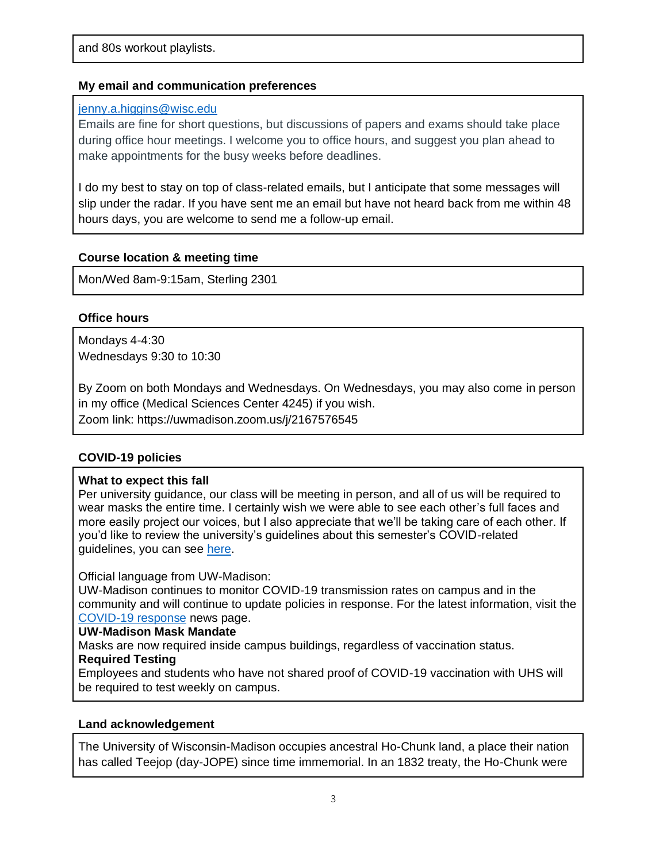#### **My email and communication preferences**

#### [jenny.a.higgins@wisc.edu](mailto:jenny.a.higgins@wisc.edu)

Emails are fine for short questions, but discussions of papers and exams should take place during office hour meetings. I welcome you to office hours, and suggest you plan ahead to make appointments for the busy weeks before deadlines.

I do my best to stay on top of class-related emails, but I anticipate that some messages will slip under the radar. If you have sent me an email but have not heard back from me within 48 hours days, you are welcome to send me a follow-up email.

### **Course location & meeting time**

Mon/Wed 8am-9:15am, Sterling 2301

# **Office hours**

Mondays 4-4:30 Wednesdays 9:30 to 10:30

By Zoom on both Mondays and Wednesdays. On Wednesdays, you may also come in person in my office (Medical Sciences Center 4245) if you wish. Zoom link: https://uwmadison.zoom.us/j/2167576545

# **COVID-19 policies**

#### **What to expect this fall**

Per university guidance, our class will be meeting in person, and all of us will be required to wear masks the entire time. I certainly wish we were able to see each other's full faces and more easily project our voices, but I also appreciate that we'll be taking care of each other. If you'd like to review the university's guidelines about this semester's COVID-related guidelines, you can see [here.](https://teachlearn.provost.wisc.edu/fall-2021-instruction/#face-maskshttps://teachlearn.provost.wisc.edu/fall-2021-instruction/)

#### Official language from UW-Madison:

UW-Madison continues to monitor COVID-19 transmission rates on campus and in the community and will continue to update policies in response. For the latest information, visit the [COVID-19 response](https://news.wisc.edu/covid-19-campus-response/) news page.

#### **UW-Madison Mask Mandate**

Masks are now required inside campus buildings, regardless of vaccination status.

#### **Required Testing**

Employees and students who have not shared proof of COVID-19 vaccination with UHS will be required to test weekly on campus.

#### **Land acknowledgement**

The University of Wisconsin-Madison occupies ancestral Ho-Chunk land, a place their nation has called Teejop (day-JOPE) since time immemorial. In an 1832 treaty, the Ho-Chunk were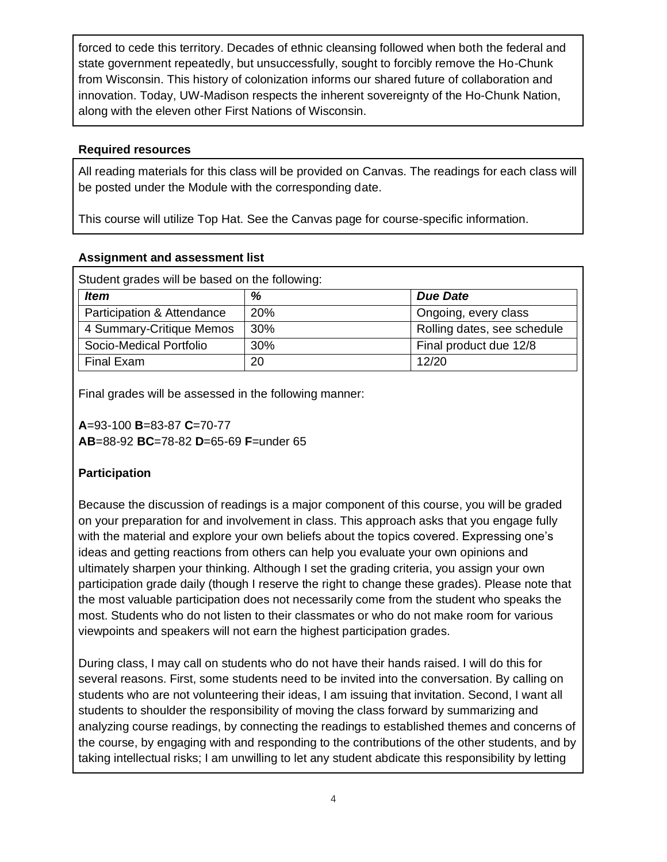forced to cede this territory. Decades of ethnic cleansing followed when both the federal and state government repeatedly, but unsuccessfully, sought to forcibly remove the Ho-Chunk from Wisconsin. This history of colonization informs our shared future of collaboration and innovation. Today, UW-Madison respects the inherent sovereignty of the Ho-Chunk Nation, along with the eleven other First Nations of Wisconsin.

### **Required resources**

All reading materials for this class will be provided on Canvas. The readings for each class will be posted under the Module with the corresponding date.

This course will utilize Top Hat. See the Canvas page for course-specific information.

# **Assignment and assessment list**

| Student grades will be based on the following: |            |                             |
|------------------------------------------------|------------|-----------------------------|
| <b>Item</b>                                    | %          | <b>Due Date</b>             |
| Participation & Attendance                     | <b>20%</b> | Ongoing, every class        |
| 4 Summary-Critique Memos                       | 30%        | Rolling dates, see schedule |
| Socio-Medical Portfolio                        | 30%        | Final product due 12/8      |
| Final Exam                                     | 20         | 12/20                       |

Final grades will be assessed in the following manner:

**A**=93-100 **B**=83-87 **C**=70-77 **AB**=88-92 **BC**=78-82 **D**=65-69 **F**=under 65

# **Participation**

Because the discussion of readings is a major component of this course, you will be graded on your preparation for and involvement in class. This approach asks that you engage fully with the material and explore your own beliefs about the topics covered. Expressing one's ideas and getting reactions from others can help you evaluate your own opinions and ultimately sharpen your thinking. Although I set the grading criteria, you assign your own participation grade daily (though I reserve the right to change these grades). Please note that the most valuable participation does not necessarily come from the student who speaks the most. Students who do not listen to their classmates or who do not make room for various viewpoints and speakers will not earn the highest participation grades.

During class, I may call on students who do not have their hands raised. I will do this for several reasons. First, some students need to be invited into the conversation. By calling on students who are not volunteering their ideas, I am issuing that invitation. Second, I want all students to shoulder the responsibility of moving the class forward by summarizing and analyzing course readings, by connecting the readings to established themes and concerns of the course, by engaging with and responding to the contributions of the other students, and by taking intellectual risks; I am unwilling to let any student abdicate this responsibility by letting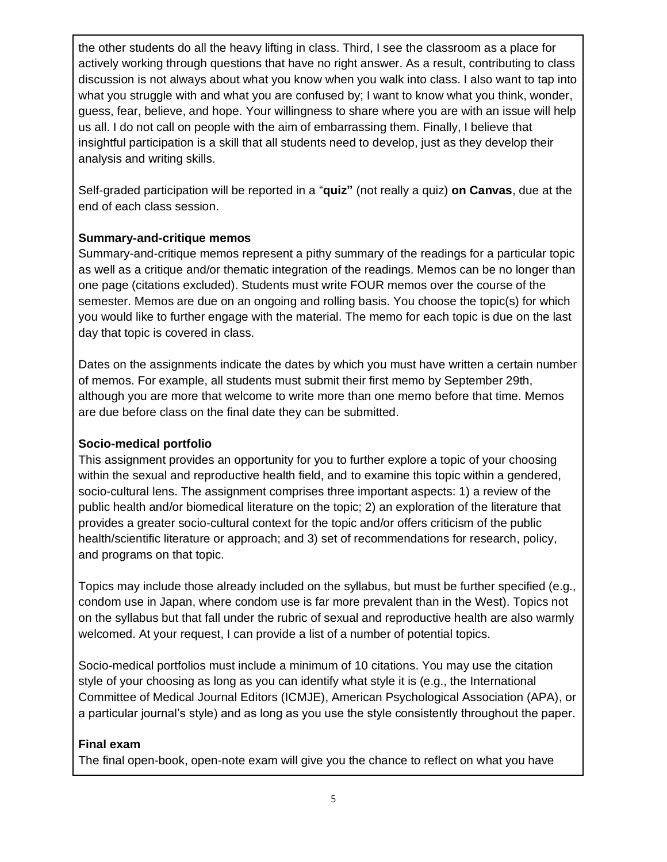the other students do all the heavy lifting in class. Third, I see the classroom as a place for actively working through questions that have no right answer. As a result, contributing to class discussion is not always about what you know when you walk into class. I also want to tap into what you struggle with and what you are confused by; I want to know what you think, wonder, guess, fear, believe, and hope. Your willingness to share where you are with an issue will help us all. I do not call on people with the aim of embarrassing them. Finally, I believe that insightful participation is a skill that all students need to develop, just as they develop their analysis and writing skills.

Self-graded participation will be reported in a "**quiz"** (not really a quiz) **on Canvas**, due at the end of each class session.

# **Summary-and-critique memos**

Summary-and-critique memos represent a pithy summary of the readings for a particular topic as well as a critique and/or thematic integration of the readings. Memos can be no longer than one page (citations excluded). Students must write FOUR memos over the course of the semester. Memos are due on an ongoing and rolling basis. You choose the topic(s) for which you would like to further engage with the material. The memo for each topic is due on the last day that topic is covered in class.

Dates on the assignments indicate the dates by which you must have written a certain number of memos. For example, all students must submit their first memo by September 29th, although you are more that welcome to write more than one memo before that time. Memos are due before class on the final date they can be submitted.

# **Socio-medical portfolio**

This assignment provides an opportunity for you to further explore a topic of your choosing within the sexual and reproductive health field, and to examine this topic within a gendered, socio-cultural lens. The assignment comprises three important aspects: 1) a review of the public health and/or biomedical literature on the topic; 2) an exploration of the literature that provides a greater socio-cultural context for the topic and/or offers criticism of the public health/scientific literature or approach; and 3) set of recommendations for research, policy, and programs on that topic.

Topics may include those already included on the syllabus, but must be further specified (e.g., condom use in Japan, where condom use is far more prevalent than in the West). Topics not on the syllabus but that fall under the rubric of sexual and reproductive health are also warmly welcomed. At your request, I can provide a list of a number of potential topics.

Socio-medical portfolios must include a minimum of 10 citations. You may use the citation style of your choosing as long as you can identify what style it is (e.g., the International Committee of Medical Journal Editors (ICMJE), American Psychological Association (APA), or a particular journal's style) and as long as you use the style consistently throughout the paper.

# **Final exam**

The final open-book, open-note exam will give you the chance to reflect on what you have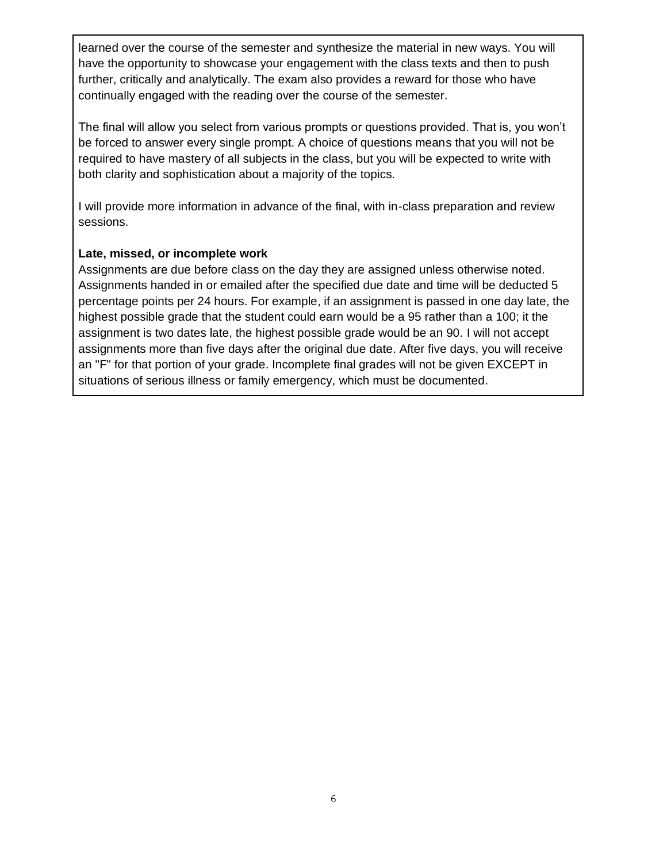learned over the course of the semester and synthesize the material in new ways. You will have the opportunity to showcase your engagement with the class texts and then to push further, critically and analytically. The exam also provides a reward for those who have continually engaged with the reading over the course of the semester.

The final will allow you select from various prompts or questions provided. That is, you won't be forced to answer every single prompt. A choice of questions means that you will not be required to have mastery of all subjects in the class, but you will be expected to write with both clarity and sophistication about a majority of the topics.

I will provide more information in advance of the final, with in-class preparation and review sessions.

### **Late, missed, or incomplete work**

Assignments are due before class on the day they are assigned unless otherwise noted. Assignments handed in or emailed after the specified due date and time will be deducted 5 percentage points per 24 hours. For example, if an assignment is passed in one day late, the highest possible grade that the student could earn would be a 95 rather than a 100; it the assignment is two dates late, the highest possible grade would be an 90. I will not accept assignments more than five days after the original due date. After five days, you will receive an "F" for that portion of your grade. Incomplete final grades will not be given EXCEPT in situations of serious illness or family emergency, which must be documented.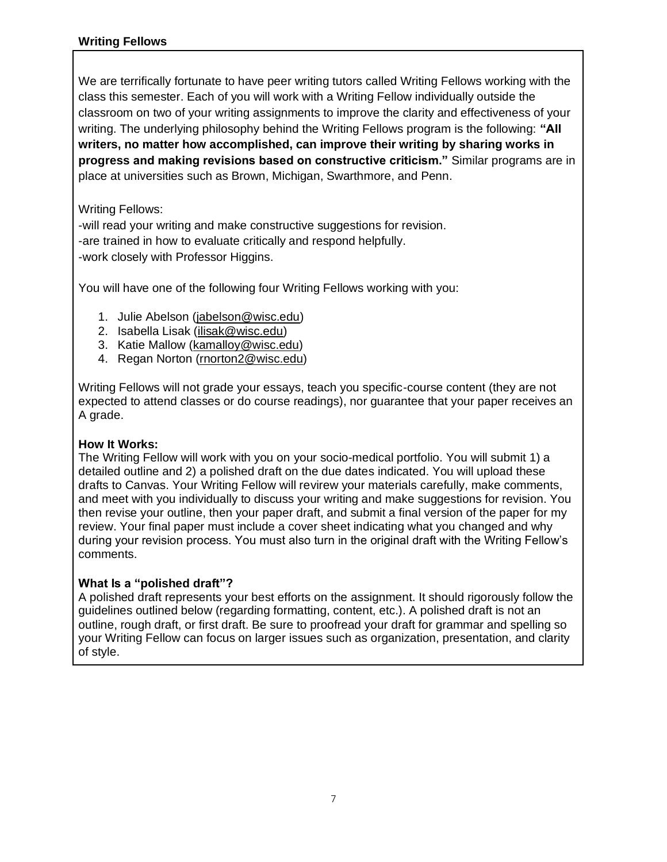## **Writing Fellows**

We are terrifically fortunate to have peer writing tutors called Writing Fellows working with the class this semester. Each of you will work with a Writing Fellow individually outside the classroom on two of your writing assignments to improve the clarity and effectiveness of your writing. The underlying philosophy behind the Writing Fellows program is the following: **"All writers, no matter how accomplished, can improve their writing by sharing works in progress and making revisions based on constructive criticism."** Similar programs are in place at universities such as Brown, Michigan, Swarthmore, and Penn.

### Writing Fellows:

-will read your writing and make constructive suggestions for revision. -are trained in how to evaluate critically and respond helpfully. -work closely with Professor Higgins.

You will have one of the following four Writing Fellows working with you:

- 1. Julie Abelson [\(jabelson@wisc.edu\)](mailto:jabelson@wisc.edu)
- 2. Isabella Lisak [\(ilisak@wisc.edu\)](mailto:ilisak@wisc.edu)
- 3. Katie Mallow [\(kamalloy@wisc.edu\)](mailto:kamalloy@wisc.edu)
- 4. Regan Norton [\(rnorton2@wisc.edu\)](mailto:rnorton2@wisc.edu)

Writing Fellows will not grade your essays, teach you specific-course content (they are not expected to attend classes or do course readings), nor guarantee that your paper receives an A grade.

#### **How It Works:**

The Writing Fellow will work with you on your socio-medical portfolio. You will submit 1) a detailed outline and 2) a polished draft on the due dates indicated. You will upload these drafts to Canvas. Your Writing Fellow will revirew your materials carefully, make comments, and meet with you individually to discuss your writing and make suggestions for revision. You then revise your outline, then your paper draft, and submit a final version of the paper for my review. Your final paper must include a cover sheet indicating what you changed and why during your revision process. You must also turn in the original draft with the Writing Fellow's comments.

#### **What Is a "polished draft"?**

A polished draft represents your best efforts on the assignment. It should rigorously follow the guidelines outlined below (regarding formatting, content, etc.). A polished draft is not an outline, rough draft, or first draft. Be sure to proofread your draft for grammar and spelling so your Writing Fellow can focus on larger issues such as organization, presentation, and clarity of style.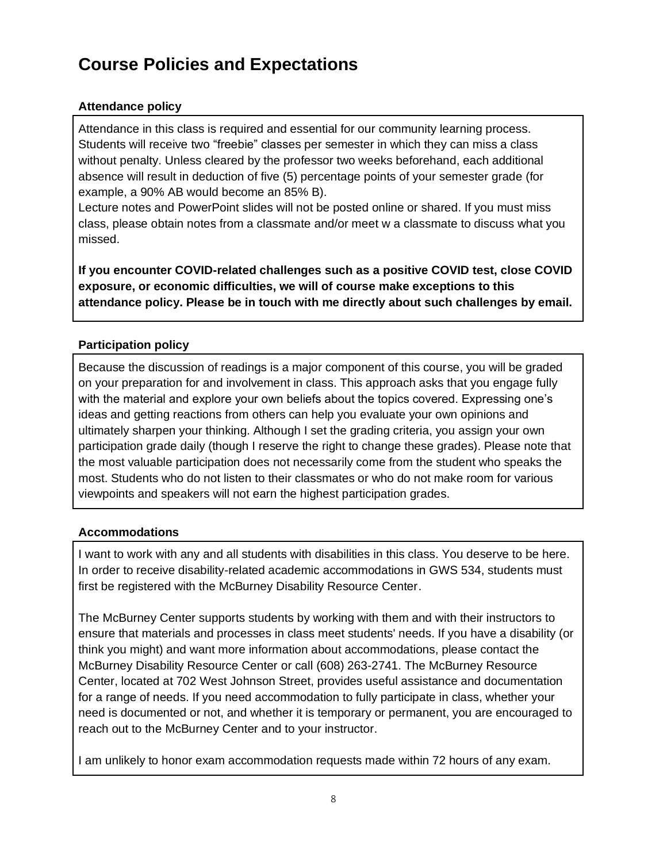# **Course Policies and Expectations**

# **Attendance policy**

Attendance in this class is required and essential for our community learning process. Students will receive two "freebie" classes per semester in which they can miss a class without penalty. Unless cleared by the professor two weeks beforehand, each additional absence will result in deduction of five (5) percentage points of your semester grade (for example, a 90% AB would become an 85% B).

Lecture notes and PowerPoint slides will not be posted online or shared. If you must miss class, please obtain notes from a classmate and/or meet w a classmate to discuss what you missed.

**If you encounter COVID-related challenges such as a positive COVID test, close COVID exposure, or economic difficulties, we will of course make exceptions to this attendance policy. Please be in touch with me directly about such challenges by email.**

# **Participation policy**

Because the discussion of readings is a major component of this course, you will be graded on your preparation for and involvement in class. This approach asks that you engage fully with the material and explore your own beliefs about the topics covered. Expressing one's ideas and getting reactions from others can help you evaluate your own opinions and ultimately sharpen your thinking. Although I set the grading criteria, you assign your own participation grade daily (though I reserve the right to change these grades). Please note that the most valuable participation does not necessarily come from the student who speaks the most. Students who do not listen to their classmates or who do not make room for various viewpoints and speakers will not earn the highest participation grades.

# **Accommodations**

I want to work with any and all students with disabilities in this class. You deserve to be here. In order to receive disability-related academic accommodations in GWS 534, students must first be registered with the McBurney Disability Resource Center.

The McBurney Center supports students by working with them and with their instructors to ensure that materials and processes in class meet students' needs. If you have a disability (or think you might) and want more information about accommodations, please contact the McBurney Disability Resource Center or call (608) 263-2741. The McBurney Resource Center, located at 702 West Johnson Street, provides useful assistance and documentation for a range of needs. If you need accommodation to fully participate in class, whether your need is documented or not, and whether it is temporary or permanent, you are encouraged to reach out to the McBurney Center and to your instructor.

I am unlikely to honor exam accommodation requests made within 72 hours of any exam.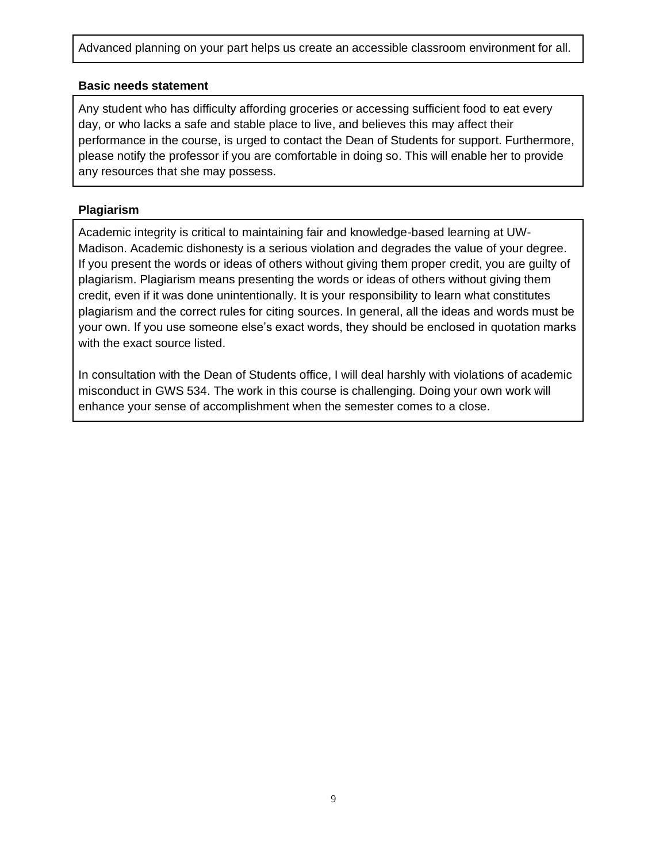Advanced planning on your part helps us create an accessible classroom environment for all.

#### **Basic needs statement**

Any student who has difficulty affording groceries or accessing sufficient food to eat every day, or who lacks a safe and stable place to live, and believes this may affect their performance in the course, is urged to contact the Dean of Students for support. Furthermore, please notify the professor if you are comfortable in doing so. This will enable her to provide any resources that she may possess.

#### **Plagiarism**

Academic integrity is critical to maintaining fair and knowledge-based learning at UW-Madison. Academic dishonesty is a serious violation and degrades the value of your degree. If you present the words or ideas of others without giving them proper credit, you are guilty of plagiarism. Plagiarism means presenting the words or ideas of others without giving them credit, even if it was done unintentionally. It is your responsibility to learn what constitutes plagiarism and the correct rules for citing sources. In general, all the ideas and words must be your own. If you use someone else's exact words, they should be enclosed in quotation marks with the exact source listed.

In consultation with the Dean of Students office, I will deal harshly with violations of academic misconduct in GWS 534. The work in this course is challenging. Doing your own work will enhance your sense of accomplishment when the semester comes to a close.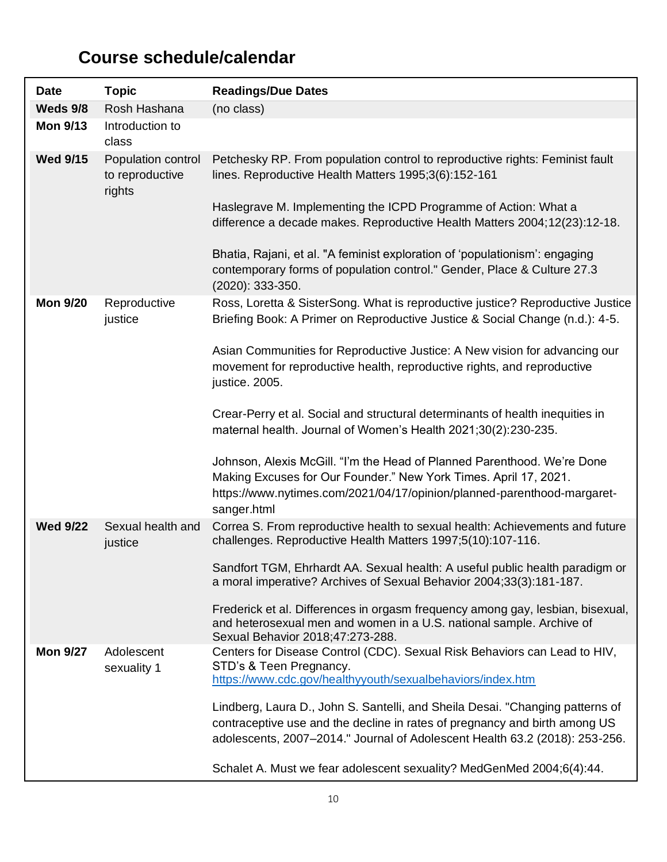# **Course schedule/calendar**

| <b>Date</b>     | <b>Topic</b>                                    | <b>Readings/Due Dates</b>                                                                                                                                                                                                                                                                                                                                                                                                                                                                 |
|-----------------|-------------------------------------------------|-------------------------------------------------------------------------------------------------------------------------------------------------------------------------------------------------------------------------------------------------------------------------------------------------------------------------------------------------------------------------------------------------------------------------------------------------------------------------------------------|
| Weds 9/8        | Rosh Hashana                                    | (no class)                                                                                                                                                                                                                                                                                                                                                                                                                                                                                |
| <b>Mon 9/13</b> | Introduction to<br>class                        |                                                                                                                                                                                                                                                                                                                                                                                                                                                                                           |
| <b>Wed 9/15</b> | Population control<br>to reproductive<br>rights | Petchesky RP. From population control to reproductive rights: Feminist fault<br>lines. Reproductive Health Matters 1995;3(6):152-161<br>Haslegrave M. Implementing the ICPD Programme of Action: What a<br>difference a decade makes. Reproductive Health Matters 2004;12(23):12-18.<br>Bhatia, Rajani, et al. "A feminist exploration of 'populationism': engaging<br>contemporary forms of population control." Gender, Place & Culture 27.3                                            |
| <b>Mon 9/20</b> | Reproductive<br>justice                         | $(2020): 333-350.$<br>Ross, Loretta & SisterSong. What is reproductive justice? Reproductive Justice<br>Briefing Book: A Primer on Reproductive Justice & Social Change (n.d.): 4-5.                                                                                                                                                                                                                                                                                                      |
|                 |                                                 | Asian Communities for Reproductive Justice: A New vision for advancing our<br>movement for reproductive health, reproductive rights, and reproductive<br>justice. 2005.                                                                                                                                                                                                                                                                                                                   |
|                 |                                                 | Crear-Perry et al. Social and structural determinants of health inequities in<br>maternal health. Journal of Women's Health 2021;30(2):230-235.                                                                                                                                                                                                                                                                                                                                           |
|                 |                                                 | Johnson, Alexis McGill. "I'm the Head of Planned Parenthood. We're Done<br>Making Excuses for Our Founder." New York Times. April 17, 2021.<br>https://www.nytimes.com/2021/04/17/opinion/planned-parenthood-margaret-<br>sanger.html                                                                                                                                                                                                                                                     |
| <b>Wed 9/22</b> | Sexual health and<br>justice                    | Correa S. From reproductive health to sexual health: Achievements and future<br>challenges. Reproductive Health Matters 1997;5(10):107-116.                                                                                                                                                                                                                                                                                                                                               |
|                 |                                                 | Sandfort TGM, Ehrhardt AA. Sexual health: A useful public health paradigm or<br>a moral imperative? Archives of Sexual Behavior 2004;33(3):181-187.<br>Frederick et al. Differences in orgasm frequency among gay, lesbian, bisexual,<br>and heterosexual men and women in a U.S. national sample. Archive of<br>Sexual Behavior 2018;47:273-288.                                                                                                                                         |
| <b>Mon 9/27</b> | Adolescent<br>sexuality 1                       | Centers for Disease Control (CDC). Sexual Risk Behaviors can Lead to HIV,<br>STD's & Teen Pregnancy.<br>https://www.cdc.gov/healthyyouth/sexualbehaviors/index.htm<br>Lindberg, Laura D., John S. Santelli, and Sheila Desai. "Changing patterns of<br>contraceptive use and the decline in rates of pregnancy and birth among US<br>adolescents, 2007-2014." Journal of Adolescent Health 63.2 (2018): 253-256.<br>Schalet A. Must we fear adolescent sexuality? MedGenMed 2004;6(4):44. |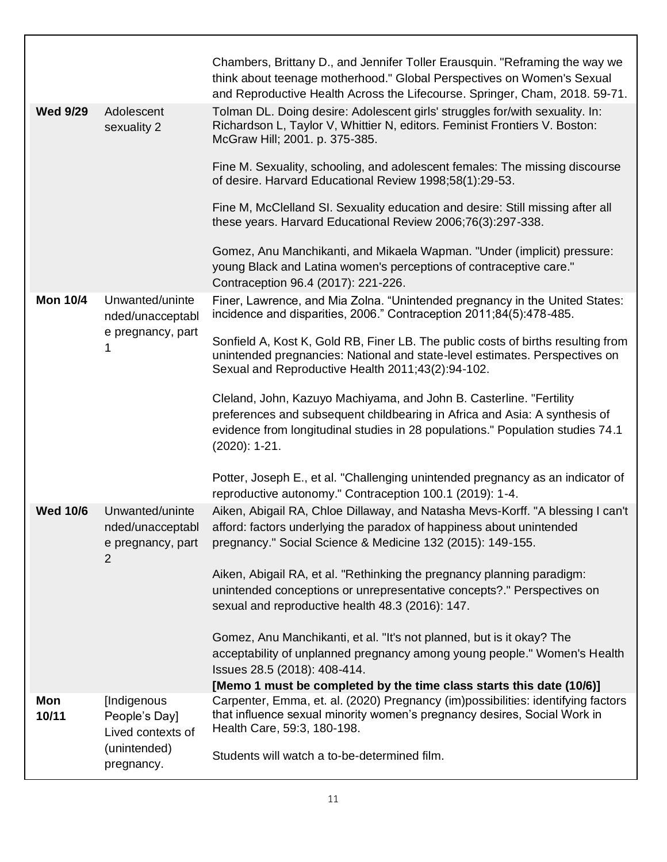|                 |                                                          | Chambers, Brittany D., and Jennifer Toller Erausquin. "Reframing the way we<br>think about teenage motherhood." Global Perspectives on Women's Sexual<br>and Reproductive Health Across the Lifecourse. Springer, Cham, 2018. 59-71. |
|-----------------|----------------------------------------------------------|--------------------------------------------------------------------------------------------------------------------------------------------------------------------------------------------------------------------------------------|
| <b>Wed 9/29</b> | Adolescent<br>sexuality 2                                | Tolman DL. Doing desire: Adolescent girls' struggles for/with sexuality. In:<br>Richardson L, Taylor V, Whittier N, editors. Feminist Frontiers V. Boston:<br>McGraw Hill; 2001. p. 375-385.                                         |
|                 |                                                          | Fine M. Sexuality, schooling, and adolescent females: The missing discourse<br>of desire. Harvard Educational Review 1998;58(1):29-53.                                                                                               |
|                 |                                                          | Fine M, McClelland SI. Sexuality education and desire: Still missing after all<br>these years. Harvard Educational Review 2006;76(3):297-338.                                                                                        |
|                 |                                                          | Gomez, Anu Manchikanti, and Mikaela Wapman. "Under (implicit) pressure:<br>young Black and Latina women's perceptions of contraceptive care."<br>Contraception 96.4 (2017): 221-226.                                                 |
| <b>Mon 10/4</b> | Unwanted/uninte<br>nded/unacceptabl<br>e pregnancy, part | Finer, Lawrence, and Mia Zolna. "Unintended pregnancy in the United States:<br>incidence and disparities, 2006." Contraception 2011;84(5):478-485.                                                                                   |
|                 |                                                          | Sonfield A, Kost K, Gold RB, Finer LB. The public costs of births resulting from<br>unintended pregnancies: National and state-level estimates. Perspectives on<br>Sexual and Reproductive Health 2011;43(2):94-102.                 |
|                 |                                                          | Cleland, John, Kazuyo Machiyama, and John B. Casterline. "Fertility                                                                                                                                                                  |
|                 |                                                          | preferences and subsequent childbearing in Africa and Asia: A synthesis of<br>evidence from longitudinal studies in 28 populations." Population studies 74.1<br>$(2020): 1-21.$                                                      |
|                 |                                                          | Potter, Joseph E., et al. "Challenging unintended pregnancy as an indicator of<br>reproductive autonomy." Contraception 100.1 (2019): 1-4.                                                                                           |
| <b>Wed 10/6</b> | Unwanted/uninte                                          | Aiken, Abigail RA, Chloe Dillaway, and Natasha Mevs-Korff. "A blessing I can't                                                                                                                                                       |
|                 | nded/unacceptabl<br>e pregnancy, part<br>$\overline{2}$  | afford: factors underlying the paradox of happiness about unintended<br>pregnancy." Social Science & Medicine 132 (2015): 149-155.                                                                                                   |
|                 |                                                          | Aiken, Abigail RA, et al. "Rethinking the pregnancy planning paradigm:                                                                                                                                                               |
|                 |                                                          | unintended conceptions or unrepresentative concepts?." Perspectives on<br>sexual and reproductive health 48.3 (2016): 147.                                                                                                           |
|                 |                                                          |                                                                                                                                                                                                                                      |
|                 |                                                          | Gomez, Anu Manchikanti, et al. "It's not planned, but is it okay? The<br>acceptability of unplanned pregnancy among young people." Women's Health                                                                                    |
|                 |                                                          | Issues 28.5 (2018): 408-414.                                                                                                                                                                                                         |
|                 |                                                          | [Memo 1 must be completed by the time class starts this date (10/6)]                                                                                                                                                                 |
| Mon<br>10/11    | [Indigenous<br>People's Day]<br>Lived contexts of        | Carpenter, Emma, et. al. (2020) Pregnancy (im)possibilities: identifying factors<br>that influence sexual minority women's pregnancy desires, Social Work in<br>Health Care, 59:3, 180-198.                                          |
|                 | (unintended)<br>pregnancy.                               | Students will watch a to-be-determined film.                                                                                                                                                                                         |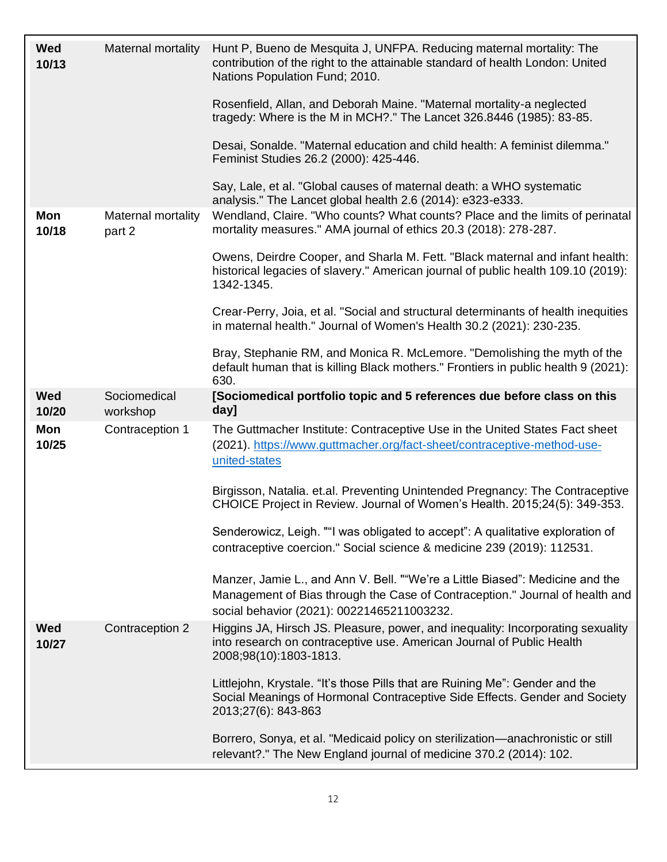| <b>Wed</b><br>10/13 | Maternal mortality           | Hunt P, Bueno de Mesquita J, UNFPA. Reducing maternal mortality: The<br>contribution of the right to the attainable standard of health London: United<br>Nations Population Fund; 2010.<br>Rosenfield, Allan, and Deborah Maine. "Maternal mortality-a neglected<br>tragedy: Where is the M in MCH?." The Lancet 326.8446 (1985): 83-85.<br>Desai, Sonalde. "Maternal education and child health: A feminist dilemma."<br>Feminist Studies 26.2 (2000): 425-446.<br>Say, Lale, et al. "Global causes of maternal death: a WHO systematic |
|---------------------|------------------------------|------------------------------------------------------------------------------------------------------------------------------------------------------------------------------------------------------------------------------------------------------------------------------------------------------------------------------------------------------------------------------------------------------------------------------------------------------------------------------------------------------------------------------------------|
|                     |                              | analysis." The Lancet global health 2.6 (2014): e323-e333.                                                                                                                                                                                                                                                                                                                                                                                                                                                                               |
| Mon<br>10/18        | Maternal mortality<br>part 2 | Wendland, Claire. "Who counts? What counts? Place and the limits of perinatal<br>mortality measures." AMA journal of ethics 20.3 (2018): 278-287.                                                                                                                                                                                                                                                                                                                                                                                        |
|                     |                              | Owens, Deirdre Cooper, and Sharla M. Fett. "Black maternal and infant health:<br>historical legacies of slavery." American journal of public health 109.10 (2019):<br>1342-1345.                                                                                                                                                                                                                                                                                                                                                         |
|                     |                              | Crear-Perry, Joia, et al. "Social and structural determinants of health inequities<br>in maternal health." Journal of Women's Health 30.2 (2021): 230-235.                                                                                                                                                                                                                                                                                                                                                                               |
|                     |                              | Bray, Stephanie RM, and Monica R. McLemore. "Demolishing the myth of the<br>default human that is killing Black mothers." Frontiers in public health 9 (2021):<br>630.                                                                                                                                                                                                                                                                                                                                                                   |
| <b>Wed</b><br>10/20 | Sociomedical<br>workshop     | [Sociomedical portfolio topic and 5 references due before class on this<br>day]                                                                                                                                                                                                                                                                                                                                                                                                                                                          |
| Mon<br>10/25        | Contraception 1              | The Guttmacher Institute: Contraceptive Use in the United States Fact sheet<br>(2021). https://www.guttmacher.org/fact-sheet/contraceptive-method-use-<br>united-states                                                                                                                                                                                                                                                                                                                                                                  |
|                     |                              | Birgisson, Natalia. et.al. Preventing Unintended Pregnancy: The Contraceptive<br>CHOICE Project in Review. Journal of Women's Health. 2015;24(5): 349-353.                                                                                                                                                                                                                                                                                                                                                                               |
|                     |                              | Senderowicz, Leigh. ""I was obligated to accept": A qualitative exploration of<br>contraceptive coercion." Social science & medicine 239 (2019): 112531.                                                                                                                                                                                                                                                                                                                                                                                 |
|                     |                              | Manzer, Jamie L., and Ann V. Bell. ""We're a Little Biased": Medicine and the<br>Management of Bias through the Case of Contraception." Journal of health and<br>social behavior (2021): 00221465211003232.                                                                                                                                                                                                                                                                                                                              |
| Wed<br>10/27        | Contraception 2              | Higgins JA, Hirsch JS. Pleasure, power, and inequality: Incorporating sexuality<br>into research on contraceptive use. American Journal of Public Health<br>2008;98(10):1803-1813.                                                                                                                                                                                                                                                                                                                                                       |
|                     |                              | Littlejohn, Krystale. "It's those Pills that are Ruining Me": Gender and the<br>Social Meanings of Hormonal Contraceptive Side Effects. Gender and Society<br>2013;27(6): 843-863                                                                                                                                                                                                                                                                                                                                                        |
|                     |                              | Borrero, Sonya, et al. "Medicaid policy on sterilization—anachronistic or still<br>relevant?." The New England journal of medicine 370.2 (2014): 102.                                                                                                                                                                                                                                                                                                                                                                                    |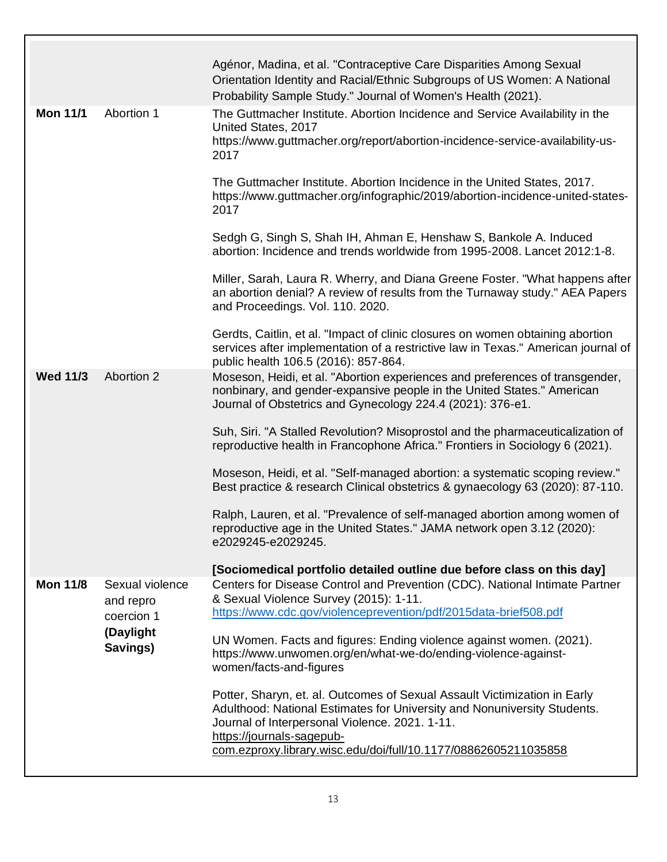|                 |                                            | Agénor, Madina, et al. "Contraceptive Care Disparities Among Sexual<br>Orientation Identity and Racial/Ethnic Subgroups of US Women: A National<br>Probability Sample Study." Journal of Women's Health (2021).                                                          |
|-----------------|--------------------------------------------|--------------------------------------------------------------------------------------------------------------------------------------------------------------------------------------------------------------------------------------------------------------------------|
| <b>Mon 11/1</b> | Abortion 1                                 | The Guttmacher Institute. Abortion Incidence and Service Availability in the<br>United States, 2017<br>https://www.guttmacher.org/report/abortion-incidence-service-availability-us-<br>2017<br>The Guttmacher Institute. Abortion Incidence in the United States, 2017. |
|                 |                                            | https://www.guttmacher.org/infographic/2019/abortion-incidence-united-states-<br>2017                                                                                                                                                                                    |
|                 |                                            | Sedgh G, Singh S, Shah IH, Ahman E, Henshaw S, Bankole A. Induced<br>abortion: Incidence and trends worldwide from 1995-2008. Lancet 2012:1-8.                                                                                                                           |
|                 |                                            | Miller, Sarah, Laura R. Wherry, and Diana Greene Foster. "What happens after<br>an abortion denial? A review of results from the Turnaway study." AEA Papers<br>and Proceedings. Vol. 110. 2020.                                                                         |
|                 |                                            | Gerdts, Caitlin, et al. "Impact of clinic closures on women obtaining abortion<br>services after implementation of a restrictive law in Texas." American journal of<br>public health 106.5 (2016): 857-864.                                                              |
| <b>Wed 11/3</b> | <b>Abortion 2</b>                          | Moseson, Heidi, et al. "Abortion experiences and preferences of transgender,<br>nonbinary, and gender-expansive people in the United States." American<br>Journal of Obstetrics and Gynecology 224.4 (2021): 376-e1.                                                     |
|                 |                                            | Suh, Siri. "A Stalled Revolution? Misoprostol and the pharmaceuticalization of<br>reproductive health in Francophone Africa." Frontiers in Sociology 6 (2021).                                                                                                           |
|                 |                                            | Moseson, Heidi, et al. "Self-managed abortion: a systematic scoping review."<br>Best practice & research Clinical obstetrics & gynaecology 63 (2020): 87-110.                                                                                                            |
|                 |                                            | Ralph, Lauren, et al. "Prevalence of self-managed abortion among women of<br>reproductive age in the United States." JAMA network open 3.12 (2020):<br>e2029245-e2029245.                                                                                                |
|                 |                                            | [Sociomedical portfolio detailed outline due before class on this day]                                                                                                                                                                                                   |
| <b>Mon 11/8</b> | Sexual violence<br>and repro<br>coercion 1 | Centers for Disease Control and Prevention (CDC). National Intimate Partner<br>& Sexual Violence Survey (2015): 1-11.<br>https://www.cdc.gov/violenceprevention/pdf/2015data-brief508.pdf                                                                                |
|                 | (Daylight<br>Savings)                      | UN Women. Facts and figures: Ending violence against women. (2021).<br>https://www.unwomen.org/en/what-we-do/ending-violence-against-<br>women/facts-and-figures                                                                                                         |
|                 |                                            | Potter, Sharyn, et. al. Outcomes of Sexual Assault Victimization in Early<br>Adulthood: National Estimates for University and Nonuniversity Students.<br>Journal of Interpersonal Violence. 2021. 1-11.<br>https://journals-sagepub-                                     |
|                 |                                            | com.ezproxy.library.wisc.edu/doi/full/10.1177/08862605211035858                                                                                                                                                                                                          |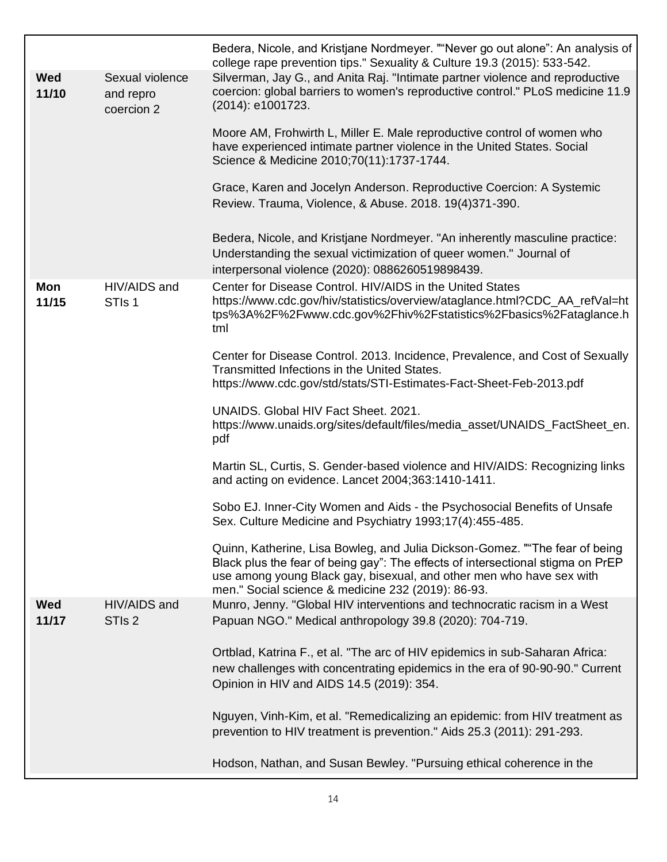|                     |                                            | Bedera, Nicole, and Kristjane Nordmeyer. ""Never go out alone": An analysis of<br>college rape prevention tips." Sexuality & Culture 19.3 (2015): 533-542.                                                                                                                                   |
|---------------------|--------------------------------------------|----------------------------------------------------------------------------------------------------------------------------------------------------------------------------------------------------------------------------------------------------------------------------------------------|
| <b>Wed</b><br>11/10 | Sexual violence<br>and repro<br>coercion 2 | Silverman, Jay G., and Anita Raj. "Intimate partner violence and reproductive<br>coercion: global barriers to women's reproductive control." PLoS medicine 11.9<br>(2014): e1001723.                                                                                                         |
|                     |                                            | Moore AM, Frohwirth L, Miller E. Male reproductive control of women who<br>have experienced intimate partner violence in the United States. Social<br>Science & Medicine 2010;70(11):1737-1744.                                                                                              |
|                     |                                            | Grace, Karen and Jocelyn Anderson. Reproductive Coercion: A Systemic<br>Review. Trauma, Violence, & Abuse. 2018. 19(4)371-390.                                                                                                                                                               |
|                     |                                            | Bedera, Nicole, and Kristjane Nordmeyer. "An inherently masculine practice:<br>Understanding the sexual victimization of queer women." Journal of<br>interpersonal violence (2020): 0886260519898439.                                                                                        |
| Mon<br>11/15        | HIV/AIDS and<br>STI <sub>s</sub> 1         | Center for Disease Control, HIV/AIDS in the United States<br>https://www.cdc.gov/hiv/statistics/overview/ataglance.html?CDC_AA_refVal=ht<br>tps%3A%2F%2Fwww.cdc.gov%2Fhiv%2Fstatistics%2Fbasics%2Fataglance.h<br>tml                                                                         |
|                     |                                            | Center for Disease Control. 2013. Incidence, Prevalence, and Cost of Sexually<br>Transmitted Infections in the United States.<br>https://www.cdc.gov/std/stats/STI-Estimates-Fact-Sheet-Feb-2013.pdf                                                                                         |
|                     |                                            | UNAIDS. Global HIV Fact Sheet. 2021.<br>https://www.unaids.org/sites/default/files/media_asset/UNAIDS_FactSheet_en.<br>pdf                                                                                                                                                                   |
|                     |                                            | Martin SL, Curtis, S. Gender-based violence and HIV/AIDS: Recognizing links<br>and acting on evidence. Lancet 2004;363:1410-1411.                                                                                                                                                            |
|                     |                                            | Sobo EJ. Inner-City Women and Aids - the Psychosocial Benefits of Unsafe<br>Sex. Culture Medicine and Psychiatry 1993;17(4):455-485.                                                                                                                                                         |
|                     |                                            | Quinn, Katherine, Lisa Bowleg, and Julia Dickson-Gomez. ""The fear of being<br>Black plus the fear of being gay": The effects of intersectional stigma on PrEP<br>use among young Black gay, bisexual, and other men who have sex with<br>men." Social science & medicine 232 (2019): 86-93. |
| <b>Wed</b><br>11/17 | HIV/AIDS and<br>STI <sub>s</sub> 2         | Munro, Jenny. "Global HIV interventions and technocratic racism in a West<br>Papuan NGO." Medical anthropology 39.8 (2020): 704-719.                                                                                                                                                         |
|                     |                                            | Ortblad, Katrina F., et al. "The arc of HIV epidemics in sub-Saharan Africa:<br>new challenges with concentrating epidemics in the era of 90-90-90." Current<br>Opinion in HIV and AIDS 14.5 (2019): 354.                                                                                    |
|                     |                                            | Nguyen, Vinh-Kim, et al. "Remedicalizing an epidemic: from HIV treatment as<br>prevention to HIV treatment is prevention." Aids 25.3 (2011): 291-293.                                                                                                                                        |
|                     |                                            | Hodson, Nathan, and Susan Bewley. "Pursuing ethical coherence in the                                                                                                                                                                                                                         |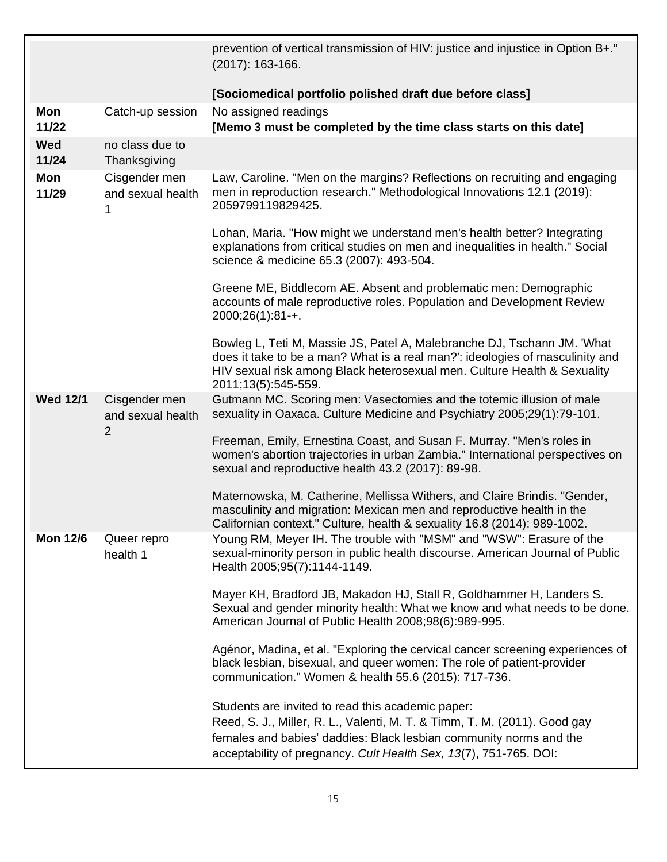|                     |                                                      | prevention of vertical transmission of HIV: justice and injustice in Option B+."<br>$(2017)$ : 163-166.                                                                                                                                                                   |
|---------------------|------------------------------------------------------|---------------------------------------------------------------------------------------------------------------------------------------------------------------------------------------------------------------------------------------------------------------------------|
|                     |                                                      | [Sociomedical portfolio polished draft due before class]                                                                                                                                                                                                                  |
| Mon<br>11/22        | Catch-up session                                     | No assigned readings<br>[Memo 3 must be completed by the time class starts on this date]                                                                                                                                                                                  |
| <b>Wed</b><br>11/24 | no class due to<br>Thanksgiving                      |                                                                                                                                                                                                                                                                           |
| Mon<br>11/29        | Cisgender men<br>and sexual health<br>1              | Law, Caroline. "Men on the margins? Reflections on recruiting and engaging<br>men in reproduction research." Methodological Innovations 12.1 (2019):<br>2059799119829425.                                                                                                 |
|                     |                                                      | Lohan, Maria. "How might we understand men's health better? Integrating<br>explanations from critical studies on men and inequalities in health." Social<br>science & medicine 65.3 (2007): 493-504.                                                                      |
|                     |                                                      | Greene ME, Biddlecom AE. Absent and problematic men: Demographic<br>accounts of male reproductive roles. Population and Development Review<br>$2000;26(1):81-+$ .                                                                                                         |
|                     |                                                      | Bowleg L, Teti M, Massie JS, Patel A, Malebranche DJ, Tschann JM. 'What<br>does it take to be a man? What is a real man?": ideologies of masculinity and<br>HIV sexual risk among Black heterosexual men. Culture Health & Sexuality<br>2011;13(5):545-559.               |
| <b>Wed 12/1</b>     | Cisgender men<br>and sexual health<br>$\overline{2}$ | Gutmann MC. Scoring men: Vasectomies and the totemic illusion of male<br>sexuality in Oaxaca. Culture Medicine and Psychiatry 2005;29(1):79-101.                                                                                                                          |
|                     |                                                      | Freeman, Emily, Ernestina Coast, and Susan F. Murray. "Men's roles in<br>women's abortion trajectories in urban Zambia." International perspectives on<br>sexual and reproductive health 43.2 (2017): 89-98.                                                              |
|                     |                                                      | Maternowska, M. Catherine, Mellissa Withers, and Claire Brindis. "Gender,<br>masculinity and migration: Mexican men and reproductive health in the<br>Californian context." Culture, health & sexuality 16.8 (2014): 989-1002.                                            |
| <b>Mon 12/6</b>     | Queer repro<br>health 1                              | Young RM, Meyer IH. The trouble with "MSM" and "WSW": Erasure of the<br>sexual-minority person in public health discourse. American Journal of Public<br>Health 2005;95(7):1144-1149.                                                                                     |
|                     |                                                      | Mayer KH, Bradford JB, Makadon HJ, Stall R, Goldhammer H, Landers S.<br>Sexual and gender minority health: What we know and what needs to be done.<br>American Journal of Public Health 2008;98(6):989-995.                                                               |
|                     |                                                      | Agénor, Madina, et al. "Exploring the cervical cancer screening experiences of<br>black lesbian, bisexual, and queer women: The role of patient-provider<br>communication." Women & health 55.6 (2015): 717-736.                                                          |
|                     |                                                      | Students are invited to read this academic paper:<br>Reed, S. J., Miller, R. L., Valenti, M. T. & Timm, T. M. (2011). Good gay<br>females and babies' daddies: Black lesbian community norms and the<br>acceptability of pregnancy. Cult Health Sex, 13(7), 751-765. DOI: |